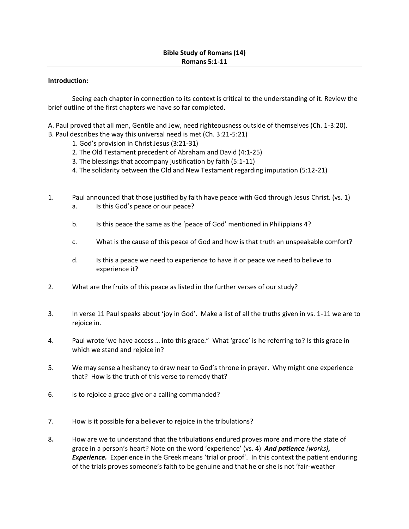## **Introduction:**

Seeing each chapter in connection to its context is critical to the understanding of it. Review the brief outline of the first chapters we have so far completed.

A. Paul proved that all men, Gentile and Jew, need righteousness outside of themselves (Ch. 1-3:20).

- B. Paul describes the way this universal need is met (Ch. 3:21-5:21)
	- 1. God's provision in Christ Jesus (3:21-31)
	- 2. The Old Testament precedent of Abraham and David (4:1-25)
	- 3. The blessings that accompany justification by faith (5:1-11)
	- 4. The solidarity between the Old and New Testament regarding imputation (5:12-21)
- 1. Paul announced that those justified by faith have peace with God through Jesus Christ. (vs. 1)
	- a. Is this God's peace or our peace?
	- b. Is this peace the same as the 'peace of God' mentioned in Philippians 4?
	- c. What is the cause of this peace of God and how is that truth an unspeakable comfort?
	- d. Is this a peace we need to experience to have it or peace we need to believe to experience it?
- 2. What are the fruits of this peace as listed in the further verses of our study?
- 3. In verse 11 Paul speaks about 'joy in God'. Make a list of all the truths given in vs. 1-11 we are to rejoice in.
- 4. Paul wrote 'we have access … into this grace." What 'grace' is he referring to? Is this grace in which we stand and rejoice in?
- 5. We may sense a hesitancy to draw near to God's throne in prayer. Why might one experience that? How is the truth of this verse to remedy that?
- 6. Is to rejoice a grace give or a calling commanded?
- 7. How is it possible for a believer to rejoice in the tribulations?
- 8**.** How are we to understand that the tribulations endured proves more and more the state of grace in a person's heart? Note on the word 'experience' (vs. 4) *And patience (works), Experience.* Experience in the Greek means 'trial or proof'. In this context the patient enduring of the trials proves someone's faith to be genuine and that he or she is not 'fair-weather